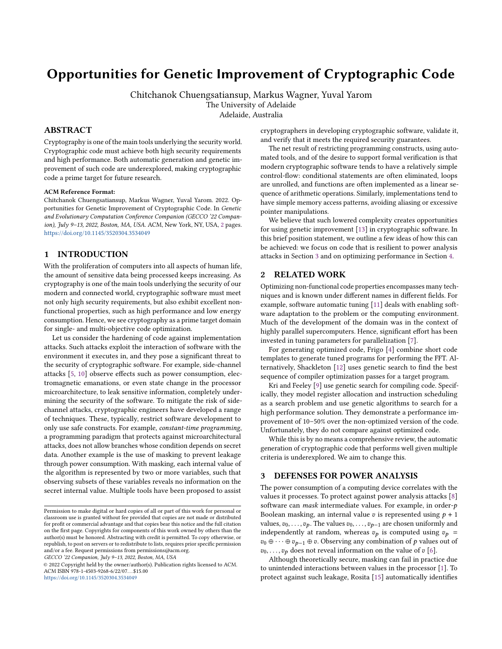# Opportunities for Genetic Improvement of Cryptographic Code

Chitchanok Chuengsatiansup, Markus Wagner, Yuval Yarom The University of Adelaide

Adelaide, Australia

## ABSTRACT

Cryptography is one of the main tools underlying the security world. Cryptographic code must achieve both high security requirements and high performance. Both automatic generation and genetic improvement of such code are underexplored, making cryptographic code a prime target for future research.

#### ACM Reference Format:

Chitchanok Chuengsatiansup, Markus Wagner, Yuval Yarom. 2022. Opportunities for Genetic Improvement of Cryptographic Code. In Genetic and Evolutionary Computation Conference Companion (GECCO '22 Companion), July 9–13, 2022, Boston, MA, USA. ACM, New York, NY, USA, [2](#page-1-0) pages. <https://doi.org/10.1145/3520304.3534049>

### 1 INTRODUCTION

With the proliferation of computers into all aspects of human life, the amount of sensitive data being processed keeps increasing. As cryptography is one of the main tools underlying the security of our modern and connected world, cryptographic software must meet not only high security requirements, but also exhibit excellent nonfunctional properties, such as high performance and low energy consumption. Hence, we see cryptography as a prime target domain for single- and multi-objective code optimization.

Let us consider the hardening of code against implementation attacks. Such attacks exploit the interaction of software with the environment it executes in, and they pose a significant threat to the security of cryptographic software. For example, side-channel attacks [\[5,](#page-1-1) [10\]](#page-1-2) observe effects such as power consumption, electromagnetic emanations, or even state change in the processor microarchitecture, to leak sensitive information, completely undermining the security of the software. To mitigate the risk of sidechannel attacks, cryptographic engineers have developed a range of techniques. These, typically, restrict software development to only use safe constructs. For example, constant-time programming, a programming paradigm that protects against microarchitectural attacks, does not allow branches whose condition depends on secret data. Another example is the use of masking to prevent leakage through power consumption. With masking, each internal value of the algorithm is represented by two or more variables, such that observing subsets of these variables reveals no information on the secret internal value. Multiple tools have been proposed to assist

GECCO '22 Companion, July 9–13, 2022, Boston, MA, USA

© 2022 Copyright held by the owner/author(s). Publication rights licensed to ACM. ACM ISBN 978-1-4503-9268-6/22/07. . . \$15.00 <https://doi.org/10.1145/3520304.3534049>

cryptographers in developing cryptographic software, validate it, and verify that it meets the required security guarantees.

The net result of restricting programming constructs, using automated tools, and of the desire to support formal verification is that modern cryptographic software tends to have a relatively simple control-flow: conditional statements are often eliminated, loops are unrolled, and functions are often implemented as a linear sequence of arithmetic operations. Similarly, implementations tend to have simple memory access patterns, avoiding aliasing or excessive pointer manipulations.

We believe that such lowered complexity creates opportunities for using genetic improvement [\[13\]](#page-1-3) in cryptographic software. In this brief position statement, we outline a few ideas of how this can be achieved: we focus on code that is resilient to power analysis attacks in Section [3](#page-0-0) and on optimizing performance in Section [4.](#page-1-4)

## 2 RELATED WORK

Optimizing non-functional code properties encompasses many techniques and is known under different names in different fields. For example, software automatic tuning [\[11\]](#page-1-5) deals with enabling software adaptation to the problem or the computing environment. Much of the development of the domain was in the context of highly parallel supercomputers. Hence, significant effort has been invested in tuning parameters for parallelization [\[7\]](#page-1-6).

For generating optimized code, Frigo [\[4\]](#page-1-7) combine short code templates to generate tuned programs for performing the FFT. Alternatively, Shackleton [\[12\]](#page-1-8) uses genetic search to find the best sequence of compiler optimization passes for a target program.

Kri and Feeley [\[9\]](#page-1-9) use genetic search for compiling code. Specifically, they model register allocation and instruction scheduling as a search problem and use genetic algorithms to search for a high performance solution. They demonstrate a performance improvement of 10–50% over the non-optimized version of the code. Unfortunately, they do not compare against optimized code.

While this is by no means a comprehensive review, the automatic generation of cryptographic code that performs well given multiple criteria is underexplored. We aim to change this.

## <span id="page-0-0"></span>3 DEFENSES FOR POWER ANALYSIS

The power consumption of a computing device correlates with the values it processes. To protect against power analysis attacks [\[8\]](#page-1-10) software can *mask* intermediate values. For example, in order- $p$ Boolean masking, an internal value  $v$  is represented using  $p + 1$ values,  $v_0, \ldots, v_p$ . The values  $v_0, \ldots, v_{p-1}$  are chosen uniformly and independently at random, whereas  $v_p$  is computed using  $v_p$  =  $v_0 \oplus \cdots \oplus v_{p-1} \oplus v$ . Observing any combination of p values out of  $v_0, \ldots, v_p$  does not reveal information on the value of  $v$  [\[6\]](#page-1-11).

Although theoretically secure, masking can fail in practice due to unintended interactions between values in the processor [\[1\]](#page-1-12). To protect against such leakage, Rosita [\[15\]](#page-1-13) automatically identifies

Permission to make digital or hard copies of all or part of this work for personal or classroom use is granted without fee provided that copies are not made or distributed for profit or commercial advantage and that copies bear this notice and the full citation on the first page. Copyrights for components of this work owned by others than the author(s) must be honored. Abstracting with credit is permitted. To copy otherwise, or republish, to post on servers or to redistribute to lists, requires prior specific permission and/or a fee. Request permissions from permissions@acm.org.